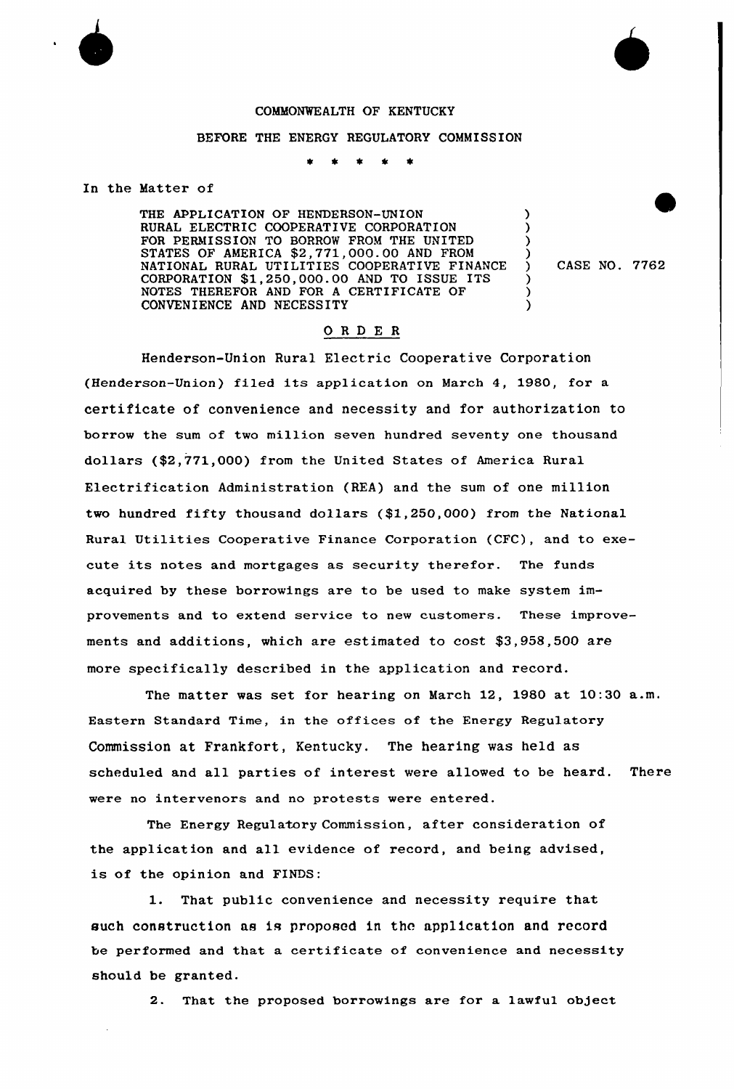## COMMONWEALTH OF KENTUCKY

## BEFORE THE ENERGY REGULATORY COMMISSION

In the Matter of

THE APPLICATION OF HENDERSON-UNION RURAL ELECTRIC COOPERATIVE CORPORATION FOR PERMISSION TO BORROW FROM THE UNITED STATES OF AMERICA \$2,771,000.00 AND FROM NATIONAL RURAL UTILITIES COOPERATIVE FINANCE CORPORATION \$1,250,000.00 AND TO ISSUE ITS NOTES THEREFOR AND FOR <sup>A</sup> CERTIFICATE OF CONVENIENCE AND NECESSITY

) CASE NO. 7762

) ) ) )

> ) ) )

## ORDE <sup>R</sup>

Henderson-Union Rural Electric Cooperative Corporation (Henderson-Union) filed its application on March 4, 1980, for <sup>a</sup> certificate of convenience and necessity and for authorization to borrow the sum of two million seven hundred seventy one thousand dollars (\$2,771,000} from the United States of America Rural Electrification Administration (REA} and the sum of one million two hundred fifty thousand dollars (\$1,250,000) from the National Rural Utilities Cooperative Finance Corporation (CFC), and to execute its notes and mortgages as security therefor. The funds acquired by these borrowings are to be used to make system improvements and to extend service to new customers. These improvements and additions, which are estimated to cost \$3,958,500 are more specifically described in the application and record.

The matter was set for hearing on March 12, 1980 at 10:30 a.m. Eastern Standard Time, in the offices of the Energy Regulatory Commission at Frankfort, Kentucky. The hearing was held as scheduled and all parties of interest were allowed to be heard. There were no intervenors and no protests were entered.

The Energy Regulatory Commission, after consideration of the application and all evidence of record, and being advised, is of the opinion and FINDS:

1. That public convenience and necessity require that such construction as is proposed in the application and record be performed and that a certificate of convenience and necessity should be granted.

2. That the proposed borrowings are for a lawful object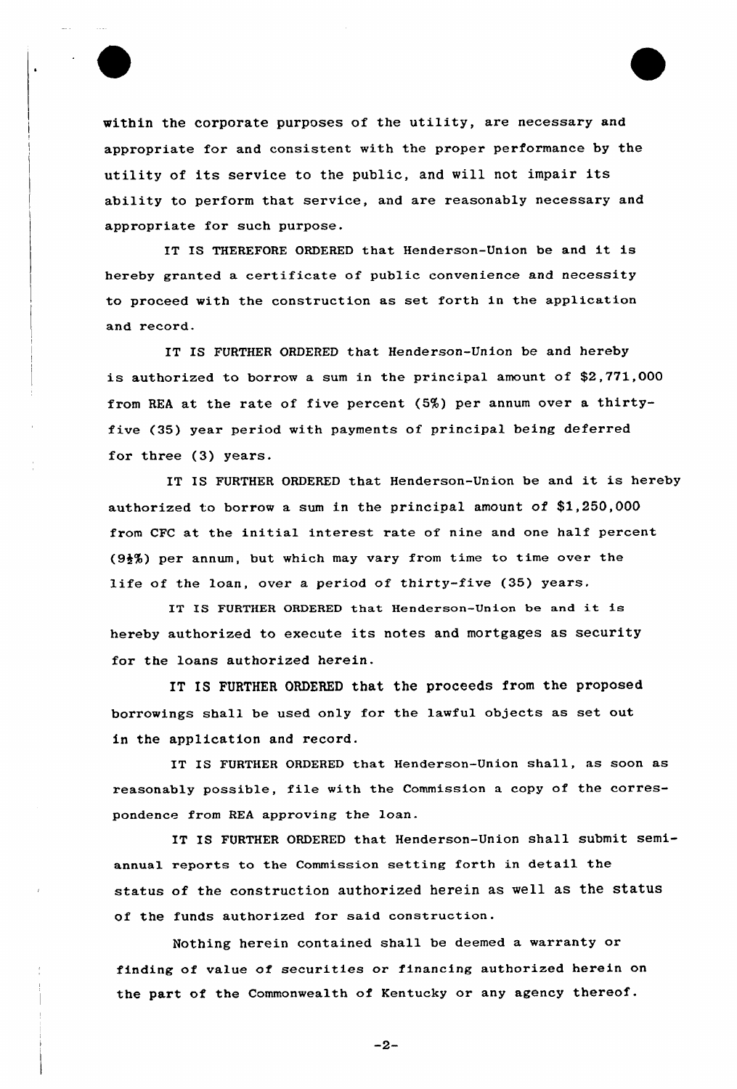

within the corporate purposes of the utility, are necessary and appropriate for and consistent with the proper performance by the utility of its service to the public, and will not impair its ability to perform that service, and are reasonably necessary and appropriate for such purpose.

IT IS THEREFORE ORDERED that Henderson-Union be and it is hereby granted a certificate of public convenience and necessity to proceed with the construction as set forth in the application and record.

IT IS FURTHER ORDERED that Henderson-Union be and hereby is authorized to borrow a sum in the principal amount of \$2,771,000 from REA at the rate of five percent  $(5%)$  per annum over a thirtyfive (35) year period with payments of principal being deferred for three (3) years.

IT IS FURTHER ORDERED that Henderson-Union be and it is hereby authorized to borrow a sum in the principal amount of \$1,250,000 from CFC at the initial interest rate of nine and one half percent (9\$%) per annum, but which may vary from time to time over the life of the loan, over a period of thirty-five (35) years.

IT IS FURTHER ORDERED that Henderson-Union be and it is hereby authorized to execute its notes and mortgages as security for the loans authorized herein.

IT IS FURTHER ORDERED that the proceeds from the proposed borrowings shall be used only for the lawful objects as set out in the application and record.

IT IS FURTHER ORDERED that Henderson-Union shall, as soon as reasonably possible, file with the Commission a copy of the correspondence from REA approving the loan.

IT IS FURTHER ORDERED that Henderson-Union shall submit semiannual reports to the Commission setting forth in detail the status of the construction authorized herein as well as the status of the funds authorized for said construction.

Nothing herein contained shall be deemed a warranty or finding of value of securities or financing authorized herein on the part of the Commonwealth of Kentucky or any agency thereof.

 $-2-$